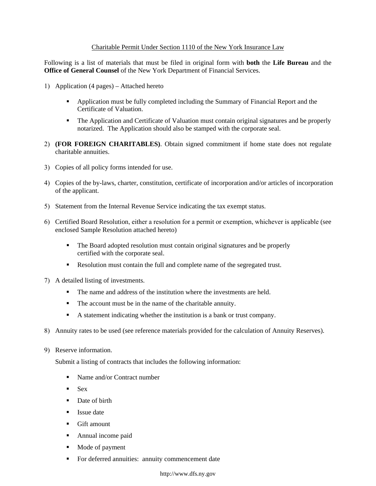## Charitable Permit Under Section 1110 of the New York Insurance Law

Following is a list of materials that must be filed in original form with **both** the **Life Bureau** and the **Office of General Counsel** of the New York Department of Financial Services.

- 1) Application (4 pages) Attached hereto
	- **•** Application must be fully completed including the Summary of Financial Report and the Certificate of Valuation.
	- The Application and Certificate of Valuation must contain original signatures and be properly notarized. The Application should also be stamped with the corporate seal.
- 2) **(FOR FOREIGN CHARITABLES)**. Obtain signed commitment if home state does not regulate charitable annuities.
- 3) Copies of all policy forms intended for use.
- 4) Copies of the by-laws, charter, constitution, certificate of incorporation and/or articles of incorporation of the applicant.
- 5) Statement from the Internal Revenue Service indicating the tax exempt status.
- 6) Certified Board Resolution, either a resolution for a permit or exemption, whichever is applicable (see enclosed Sample Resolution attached hereto)
	- The Board adopted resolution must contain original signatures and be properly certified with the corporate seal.
	- Resolution must contain the full and complete name of the segregated trust.
- 7) A detailed listing of investments.
	- The name and address of the institution where the investments are held.
	- The account must be in the name of the charitable annuity.
	- A statement indicating whether the institution is a bank or trust company.
- 8) Annuity rates to be used (see reference materials provided for the calculation of Annuity Reserves).
- 9) Reserve information.

Submit a listing of contracts that includes the following information:

- Name and/or Contract number
- $-$  Sex
- Date of birth
- **Issue date**
- **Gift amount**
- **Annual income paid**
- Mode of payment
- **For deferred annuities: annuity commencement date**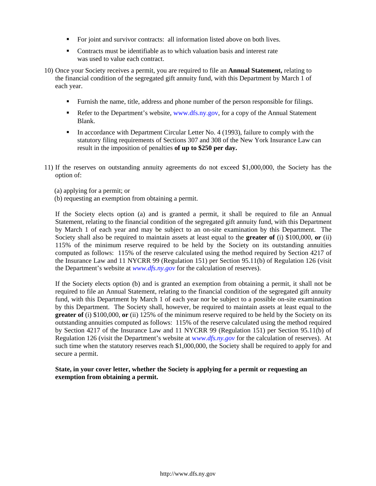- For joint and survivor contracts: all information listed above on both lives.
- Contracts must be identifiable as to which valuation basis and interest rate was used to value each contract.
- 10) Once your Society receives a permit, you are required to file an **Annual Statement,** relating to the financial condition of the segregated gift annuity fund, with this Department by March 1 of each year.
	- Furnish the name, title, address and phone number of the person responsible for filings.
	- Refer to the Department's website, www.dfs.ny.gov, for a copy of the Annual Statement Blank.
	- In accordance with Department Circular Letter No. 4 (1993), failure to comply with the statutory filing requirements of Sections 307 and 308 of the New York Insurance Law can result in the imposition of penalties **of up to \$250 per day.**
- 11) If the reserves on outstanding annuity agreements do not exceed \$1,000,000, the Society has the option of:
	- (a) applying for a permit; or
	- (b) requesting an exemption from obtaining a permit.

If the Society elects option (a) and is granted a permit, it shall be required to file an Annual Statement, relating to the financial condition of the segregated gift annuity fund, with this Department by March 1 of each year and may be subject to an on-site examination by this Department. The Society shall also be required to maintain assets at least equal to the **greater of** (i) \$100,000, **or** (ii) 115% of the minimum reserve required to be held by the Society on its outstanding annuities computed as follows: 115% of the reserve calculated using the method required by Section 4217 of the Insurance Law and 11 NYCRR 99 (Regulation 151) per Section 95.11(b) of Regulation 126 (visit the Department's website at *www.dfs.ny.gov* for the calculation of reserves).

 **greater of** (i) \$100,000, **or** (ii) 125% of the minimum reserve required to be held by the Society on its If the Society elects option (b) and is granted an exemption from obtaining a permit, it shall not be required to file an Annual Statement, relating to the financial condition of the segregated gift annuity fund, with this Department by March 1 of each year nor be subject to a possible on-site examination by this Department. The Society shall, however, be required to maintain assets at least equal to the outstanding annuities computed as follows: 115% of the reserve calculated using the method required by Section 4217 of the Insurance Law and 11 NYCRR 99 (Regulation 151) per Section 95.11(b) of Regulation 126 (visit the Department's website at w*ww.dfs.ny.gov* for the calculation of reserves). At such time when the statutory reserves reach \$1,000,000, the Society shall be required to apply for and secure a permit.

## **State, in your cover letter, whether the Society is applying for a permit or requesting an exemption from obtaining a permit.**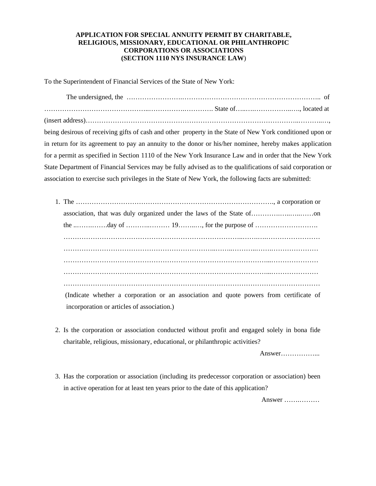## **APPLICATION FOR SPECIAL ANNUITY PERMIT BY CHARITABLE, RELIGIOUS, MISSIONARY, EDUCATIONAL OR PHILANTHROPIC CORPORATIONS OR ASSOCIATIONS (SECTION 1110 NYS INSURANCE LAW**)

To the Superintendent of Financial Services of the State of New York:

The undersigned, the …………………….…………………………………………………….. of ………………………………………..…………….…………. State of…..….……………..…., located at (insert address)…………………………………………………………………………………..………..…, being desirous of receiving gifts of cash and other property in the State of New York conditioned upon or in return for its agreement to pay an annuity to the donor or his/her nominee, hereby makes application for a permit as specified in Section 1110 of the New York Insurance Law and in order that the New York State Department of Financial Services may be fully advised as to the qualifications of said corporation or association to exercise such privileges in the State of New York, the following facts are submitted:

| (Indicate whether a corporation or an association and quote powers from certificate of |
|----------------------------------------------------------------------------------------|
| incorporation or articles of association.)                                             |

2. Is the corporation or association conducted without profit and engaged solely in bona fide charitable, religious, missionary, educational, or philanthropic activities?

Answer……………...

3. Has the corporation or association (including its predecessor corporation or association) been in active operation for at least ten years prior to the date of this application?

Answer …….………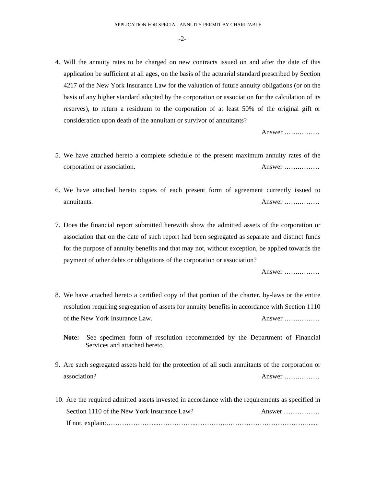-2-

4. Will the annuity rates to be charged on new contracts issued on and after the date of this application be sufficient at all ages, on the basis of the actuarial standard prescribed by Section 4217 of the New York Insurance Law for the valuation of future annuity obligations (or on the basis of any higher standard adopted by the corporation or association for the calculation of its reserves), to return a residuum to the corporation of at least 50% of the original gift or consideration upon death of the annuitant or survivor of annuitants?

Answer …….………

- 5. We have attached hereto a complete schedule of the present maximum annuity rates of the corporation or association. Answer …….………
- annuitants. 6. We have attached hereto copies of each present form of agreement currently issued to Answer ……………
- 7. Does the financial report submitted herewith show the admitted assets of the corporation or association that on the date of such report had been segregated as separate and distinct funds for the purpose of annuity benefits and that may not, without exception, be applied towards the payment of other debts or obligations of the corporation or association?

Answer …….………

- 8. We have attached hereto a certified copy of that portion of the charter, by-laws or the entire resolution requiring segregation of assets for annuity benefits in accordance with Section 1110 of the New York Insurance Law. Answer …….………
	- **Note:** See specimen form of resolution recommended by the Department of Financial Services and attached hereto.
- 9. Are such segregated assets held for the protection of all such annuitants of the corporation or association? Answer …….………
- 10. Are the required admitted assets invested in accordance with the requirements as specified in Section 1110 of the New York Insurance Law? Answer ……………. If not, explain:…………………...……………..…………..……………………………….......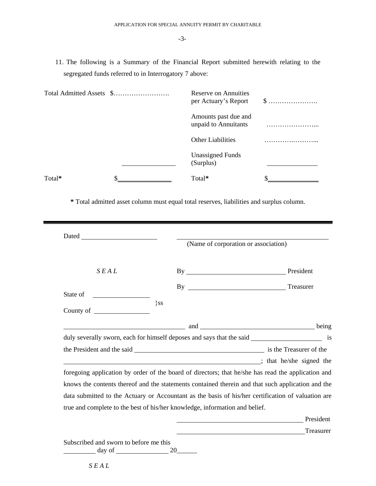11. The following is a Summary of the Financial Report submitted herewith relating to the segregated funds referred to in Interrogatory 7 above:

|        | Reserve on Annuities<br>per Actuary's Report | $\$\ldots\ldots\ldots\ldots\ldots\ldots\ldots$ |
|--------|----------------------------------------------|------------------------------------------------|
|        | Amounts past due and<br>unpaid to Annuitants |                                                |
|        | <b>Other Liabilities</b>                     |                                                |
|        | <b>Unassigned Funds</b><br>(Surplus)         |                                                |
| Total* | Total*                                       |                                                |

**\*** Total admitted asset column must equal total reserves, liabilities and surplus column.

|          |           |         | (Name of corporation or association)                                                               |           |
|----------|-----------|---------|----------------------------------------------------------------------------------------------------|-----------|
|          | SEAL      |         | By                                                                                                 | President |
|          |           |         |                                                                                                    | Treasurer |
| State of |           |         |                                                                                                    |           |
|          | County of | $\}$ SS |                                                                                                    |           |
|          |           |         |                                                                                                    |           |
|          |           |         |                                                                                                    |           |
|          |           |         | and and and and being being                                                                        |           |
|          |           |         | duly severally sworn, each for himself deposes and says that the said _________________________ is |           |
|          |           |         |                                                                                                    |           |
|          |           |         | is that he/she signed the                                                                          |           |
|          |           |         | foregoing application by order of the board of directors; that he/she has read the application and |           |
|          |           |         | knows the contents thereof and the statements contained therein and that such application and the  |           |
|          |           |         | data submitted to the Actuary or Accountant as the basis of his/her certification of valuation are |           |
|          |           |         | true and complete to the best of his/her knowledge, information and belief.                        |           |
|          |           |         |                                                                                                    | President |

day of  $\_\_\_\_\_$  20 $\_\_\_\_\_\$ 

l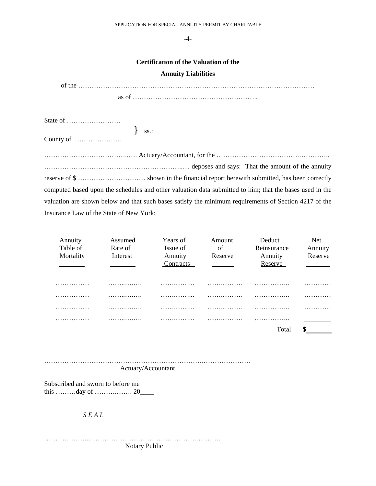-4-

## **Certification of the Valuation of the**

#### **Annuity Liabilities**

| State of                                                                                                |
|---------------------------------------------------------------------------------------------------------|
| $\left\{\right.$ ss.:                                                                                   |
| County of $\dots\dots\dots\dots\dots\dots\dots$                                                         |
|                                                                                                         |
|                                                                                                         |
|                                                                                                         |
| computed based upon the schedules and other valuation data submitted to him; that the bases used in the |
| valuation are shown below and that such bases satisfy the minimum requirements of Section 4217 of the   |
| Insurance Law of the State of New York:                                                                 |

| Annuity<br>Table of | Assumed<br>Rate of | Years of<br>Issue of | Amount<br>of | Deduct<br>Reinsurance | <b>Net</b><br>Annuity |
|---------------------|--------------------|----------------------|--------------|-----------------------|-----------------------|
| Mortality           | Interest           | Annuity              | Reserve      | Annuity               | Reserve               |
|                     |                    | Contracts            |              | Reserve               |                       |
| .                   | .                  | .                    | .            | .                     | .                     |
| .                   | .                  | .                    | .            | .                     | .                     |
| .                   | .                  | .                    | .            | .                     | .                     |
| .                   | .                  | .                    | .            | .                     |                       |
|                     |                    |                      |              | Total                 |                       |

| Actuary/Accountant |  |
|--------------------|--|

Subscribed and sworn to before me this ………day of ……….……. 20\_\_\_\_

*S E A L* 

……………….………………………………………….…………. Notary Public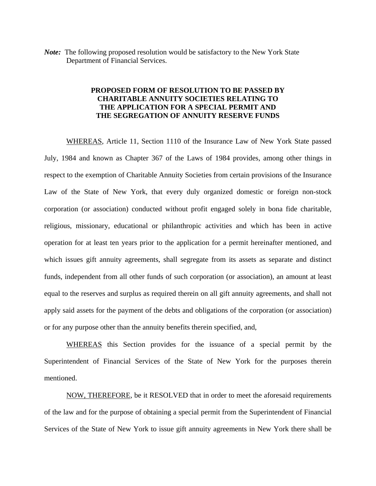*Note:* The following proposed resolution would be satisfactory to the New York State Department of Financial Services.

## **PROPOSED FORM OF RESOLUTION TO BE PASSED BY CHARITABLE ANNUITY SOCIETIES RELATING TO THE APPLICATION FOR A SPECIAL PERMIT AND THE SEGREGATION OF ANNUITY RESERVE FUNDS**

WHEREAS, Article 11, Section 1110 of the Insurance Law of New York State passed July, 1984 and known as Chapter 367 of the Laws of 1984 provides, among other things in respect to the exemption of Charitable Annuity Societies from certain provisions of the Insurance Law of the State of New York, that every duly organized domestic or foreign non-stock corporation (or association) conducted without profit engaged solely in bona fide charitable, religious, missionary, educational or philanthropic activities and which has been in active operation for at least ten years prior to the application for a permit hereinafter mentioned, and which issues gift annuity agreements, shall segregate from its assets as separate and distinct funds, independent from all other funds of such corporation (or association), an amount at least equal to the reserves and surplus as required therein on all gift annuity agreements, and shall not apply said assets for the payment of the debts and obligations of the corporation (or association) or for any purpose other than the annuity benefits therein specified, and,

WHEREAS this Section provides for the issuance of a special permit by the Superintendent of Financial Services of the State of New York for the purposes therein mentioned.

NOW, THEREFORE, be it RESOLVED that in order to meet the aforesaid requirements of the law and for the purpose of obtaining a special permit from the Superintendent of Financial Services of the State of New York to issue gift annuity agreements in New York there shall be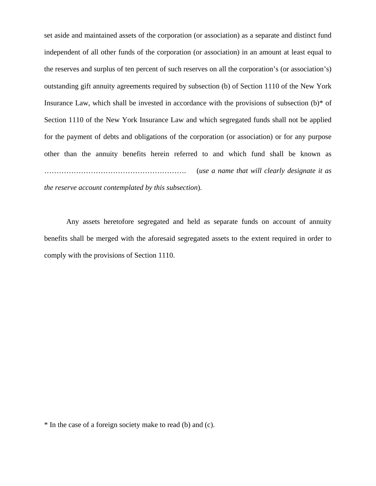set aside and maintained assets of the corporation (or association) as a separate and distinct fund independent of all other funds of the corporation (or association) in an amount at least equal to the reserves and surplus of ten percent of such reserves on all the corporation's (or association's) outstanding gift annuity agreements required by subsection (b) of Section 1110 of the New York Insurance Law, which shall be invested in accordance with the provisions of subsection  $(b)^*$  of Section 1110 of the New York Insurance Law and which segregated funds shall not be applied for the payment of debts and obligations of the corporation (or association) or for any purpose other than the annuity benefits herein referred to and which fund shall be known as …………………………………………………. (*use a name that will clearly designate it as the reserve account contemplated by this subsection*).

Any assets heretofore segregated and held as separate funds on account of annuity benefits shall be merged with the aforesaid segregated assets to the extent required in order to comply with the provisions of Section 1110.

<sup>\*</sup> In the case of a foreign society make to read (b) and (c).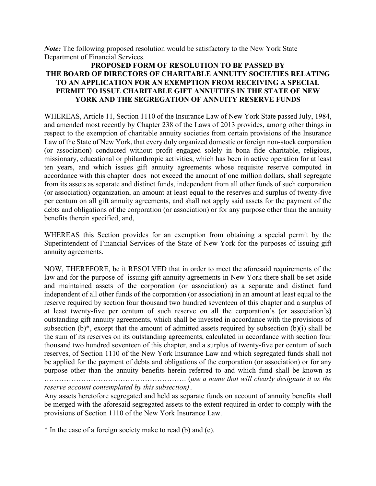*Note:* The following proposed resolution would be satisfactory to the New York State Department of Financial Services.

# **PROPOSED FORM OF RESOLUTION TO BE PASSED BY THE BOARD OF DIRECTORS OF CHARITABLE ANNUITY SOCIETIES RELATING TO AN APPLICATION FOR AN EXEMPTION FROM RECEIVING A SPECIAL PERMIT TO ISSUE CHARITABLE GIFT ANNUITIES IN THE STATE OF NEW YORK AND THE SEGREGATION OF ANNUITY RESERVE FUNDS**

WHEREAS, Article 11, Section 1110 of the Insurance Law of New York State passed July, 1984, and amended most recently by Chapter 238 of the Laws of 2013 provides, among other things in respect to the exemption of charitable annuity societies from certain provisions of the Insurance Law of the State of New York, that every duly organized domestic or foreign non-stock corporation (or association) conducted without profit engaged solely in bona fide charitable, religious, missionary, educational or philanthropic activities, which has been in active operation for at least ten years, and which issues gift annuity agreements whose requisite reserve computed in accordance with this chapter does not exceed the amount of one million dollars, shall segregate from its assets as separate and distinct funds, independent from all other funds of such corporation (or association) organization, an amount at least equal to the reserves and surplus of twenty-five per centum on all gift annuity agreements, and shall not apply said assets for the payment of the debts and obligations of the corporation (or association) or for any purpose other than the annuity benefits therein specified, and,

WHEREAS this Section provides for an exemption from obtaining a special permit by the Superintendent of Financial Services of the State of New York for the purposes of issuing gift annuity agreements.

NOW, THEREFORE, be it RESOLVED that in order to meet the aforesaid requirements of the law and for the purpose of issuing gift annuity agreements in New York there shall be set aside and maintained assets of the corporation (or association) as a separate and distinct fund independent of all other funds of the corporation (or association) in an amount at least equal to the reserve required by section four thousand two hundred seventeen of this chapter and a surplus of at least twenty-five per centum of such reserve on all the corporation's (or association's) outstanding gift annuity agreements, which shall be invested in accordance with the provisions of subsection  $(b)^*$ , except that the amount of admitted assets required by subsection  $(b)(i)$  shall be the sum of its reserves on its outstanding agreements, calculated in accordance with section four thousand two hundred seventeen of this chapter, and a surplus of twenty-five per centum of such reserves, of Section 1110 of the New York Insurance Law and which segregated funds shall not be applied for the payment of debts and obligations of the corporation (or association) or for any purpose other than the annuity benefits herein referred to and which fund shall be known as …………………………………………………. (*use a name that will clearly designate it as the reserve account contemplated by this subsection)*.

Any assets heretofore segregated and held as separate funds on account of annuity benefits shall be merged with the aforesaid segregated assets to the extent required in order to comply with the provisions of Section 1110 of the New York Insurance Law.

\* In the case of a foreign society make to read (b) and (c).